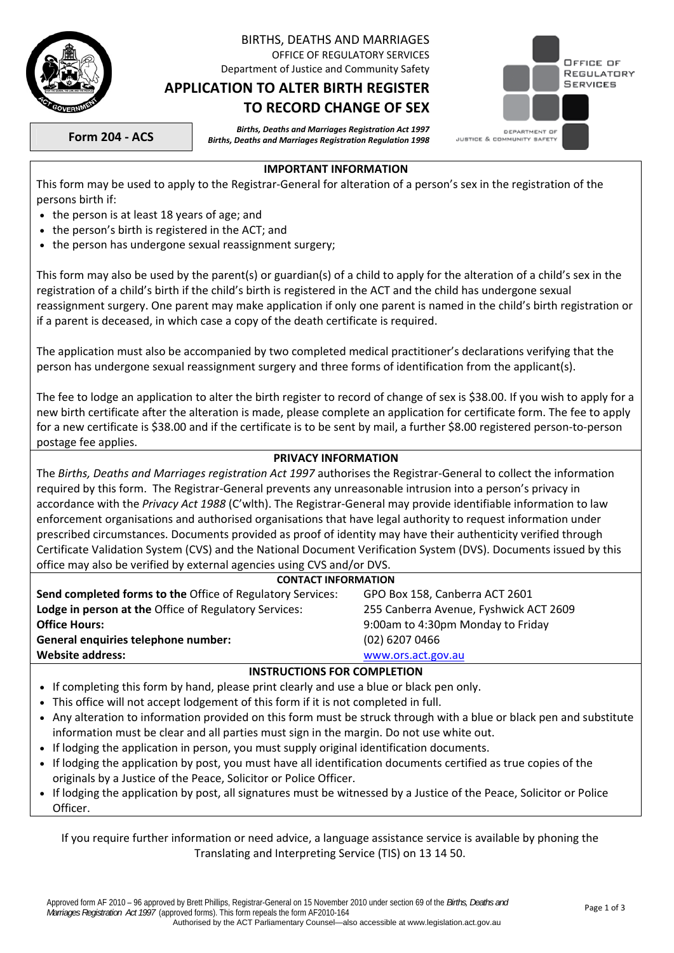

# BIRTHS, DEATHS AND MARRIAGES

OFFICE OF REGULATORY SERVICES Department of Justice and Community Safety

## **APPLICATION TO ALTER BIRTH REGISTER TO RECORD CHANGE OF SEX**



**Form 204 - ACS** *Births, Deaths and Marriages Registration Act 1997 Births, Deaths and Marriages Registration Regulation 1998* 

#### **IMPORTANT INFORMATION**

This form may be used to apply to the Registrar-General for alteration of a person's sex in the registration of the persons birth if:

- the person is at least 18 years of age; and
- the person's birth is registered in the ACT; and
- the person has undergone sexual reassignment surgery;

This form may also be used by the parent(s) or guardian(s) of a child to apply for the alteration of a child's sex in the registration of a child's birth if the child's birth is registered in the ACT and the child has undergone sexual reassignment surgery. One parent may make application if only one parent is named in the child's birth registration or if a parent is deceased, in which case a copy of the death certificate is required.

The application must also be accompanied by two completed medical practitioner's declarations verifying that the person has undergone sexual reassignment surgery and three forms of identification from the applicant(s).

The fee to lodge an application to alter the birth register to record of change of sex is \$38.00. If you wish to apply for a new birth certificate after the alteration is made, please complete an application for certificate form. The fee to apply for a new certificate is \$38.00 and if the certificate is to be sent by mail, a further \$8.00 registered person-to-person postage fee applies.

#### **PRIVACY INFORMATION**

The *Births, Deaths and Marriages registration Act 1997* authorises the Registrar-General to collect the information required by this form. The Registrar-General prevents any unreasonable intrusion into a person's privacy in accordance with the *Privacy Act 1988* (C'wlth). The Registrar-General may provide identifiable information to law enforcement organisations and authorised organisations that have legal authority to request information under prescribed circumstances. Documents provided as proof of identity may have their authenticity verified through Certificate Validation System (CVS) and the National Document Verification System (DVS). Documents issued by this office may also be verified by external agencies using CVS and/or DVS.

| office that also we refined by external agencies doing ord analysis of                       |                                        |  |  |  |
|----------------------------------------------------------------------------------------------|----------------------------------------|--|--|--|
| <b>CONTACT INFORMATION</b>                                                                   |                                        |  |  |  |
| Send completed forms to the Office of Regulatory Services:<br>GPO Box 158, Canberra ACT 2601 |                                        |  |  |  |
| Lodge in person at the Office of Regulatory Services:                                        | 255 Canberra Avenue, Fyshwick ACT 2609 |  |  |  |
| <b>Office Hours:</b>                                                                         | 9:00am to 4:30pm Monday to Friday      |  |  |  |
| General enquiries telephone number:                                                          | $(02)$ 6207 0466                       |  |  |  |
| <b>Website address:</b><br>www.ors.act.gov.au                                                |                                        |  |  |  |
| INSTRUCTIONS FOR COMPLETION                                                                  |                                        |  |  |  |

### **INSTRUCTIONS FOR COMPLETION**

- If completing this form by hand, please print clearly and use a blue or black pen only.
- This office will not accept lodgement of this form if it is not completed in full.
- Any alteration to information provided on this form must be struck through with a blue or black pen and substitute information must be clear and all parties must sign in the margin. Do not use white out.
- If lodging the application in person, you must supply original identification documents.
- If lodging the application by post, you must have all identification documents certified as true copies of the originals by a Justice of the Peace, Solicitor or Police Officer.
- If lodging the application by post, all signatures must be witnessed by a Justice of the Peace, Solicitor or Police Officer.

If you require further information or need advice, a language assistance service is available by phoning the Translating and Interpreting Service (TIS) on 13 14 50.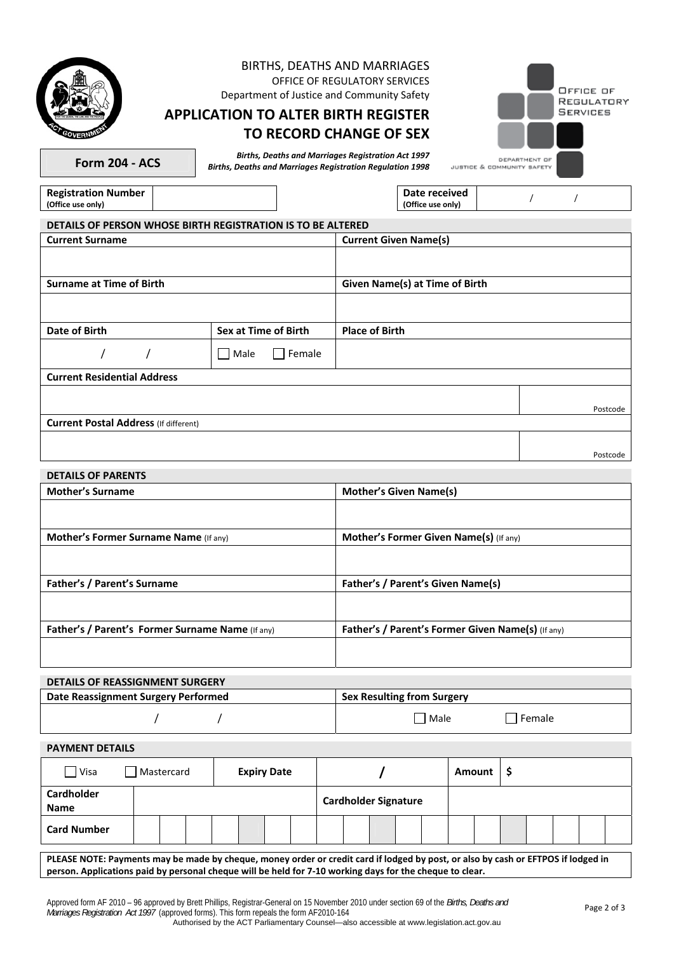|                                                  | <b>BIRTHS, DEATHS AND MARRIAGES</b>                                                      |                                                           |                                             |  |
|--------------------------------------------------|------------------------------------------------------------------------------------------|-----------------------------------------------------------|---------------------------------------------|--|
|                                                  |                                                                                          | OFFICE OF REGULATORY SERVICES                             | OFFICE OF                                   |  |
|                                                  | Department of Justice and Community Safety<br><b>APPLICATION TO ALTER BIRTH REGISTER</b> |                                                           | REGULATORY<br>SERVICES                      |  |
|                                                  |                                                                                          |                                                           |                                             |  |
|                                                  |                                                                                          | <b>TO RECORD CHANGE OF SEX</b>                            |                                             |  |
| <b>Form 204 - ACS</b>                            | <b>Births, Deaths and Marriages Registration Regulation 1998</b>                         | <b>Births, Deaths and Marriages Registration Act 1997</b> | DEPARTMENT OF<br>JUSTICE & COMMUNITY SAFETY |  |
| <b>Registration Number</b><br>(Office use only)  |                                                                                          | Date received<br>(Office use only)                        | $\prime$<br>$\prime$                        |  |
|                                                  | DETAILS OF PERSON WHOSE BIRTH REGISTRATION IS TO BE ALTERED                              |                                                           |                                             |  |
| <b>Current Surname</b>                           |                                                                                          | <b>Current Given Name(s)</b>                              |                                             |  |
|                                                  |                                                                                          |                                                           |                                             |  |
| <b>Surname at Time of Birth</b>                  |                                                                                          | Given Name(s) at Time of Birth                            |                                             |  |
|                                                  |                                                                                          |                                                           |                                             |  |
| <b>Date of Birth</b>                             | Sex at Time of Birth                                                                     | <b>Place of Birth</b>                                     |                                             |  |
|                                                  | Female<br>  Male                                                                         |                                                           |                                             |  |
| <b>Current Residential Address</b>               |                                                                                          |                                                           |                                             |  |
|                                                  |                                                                                          |                                                           |                                             |  |
| <b>Current Postal Address (If different)</b>     |                                                                                          |                                                           | Postcode                                    |  |
|                                                  |                                                                                          |                                                           |                                             |  |
|                                                  |                                                                                          |                                                           | Postcode                                    |  |
| <b>DETAILS OF PARENTS</b>                        |                                                                                          |                                                           |                                             |  |
| <b>Mother's Surname</b>                          |                                                                                          | <b>Mother's Given Name(s)</b>                             |                                             |  |
|                                                  |                                                                                          |                                                           |                                             |  |
| <b>Mother's Former Surname Name (If any)</b>     |                                                                                          | <b>Mother's Former Given Name(s)</b> (If any)             |                                             |  |
|                                                  |                                                                                          |                                                           |                                             |  |
| Father's / Parent's Surname                      |                                                                                          | Father's / Parent's Given Name(s)                         |                                             |  |
|                                                  |                                                                                          |                                                           |                                             |  |
| Father's / Parent's Former Surname Name (If any) |                                                                                          | Father's / Parent's Former Given Name(s) (If any)         |                                             |  |
|                                                  |                                                                                          |                                                           |                                             |  |
| <b>DETAILS OF REASSIGNMENT SURGERY</b>           |                                                                                          |                                                           |                                             |  |
| Data Reassignment Surgery Performed              |                                                                                          | Say Reculting from Surgery                                |                                             |  |

| Date Reassignment Surgery Performed | <b>Sex Resulting from Surgery</b> |          |
|-------------------------------------|-----------------------------------|----------|
|                                     | Male                              | I Female |

**PAYMENT DETAILS** 

| $\exists$ Visa                   | Mastercard | <b>Expiry Date</b> |                             | Amount |  |
|----------------------------------|------------|--------------------|-----------------------------|--------|--|
| <b>Cardholder</b><br><b>Name</b> |            |                    | <b>Cardholder Signature</b> |        |  |
| <b>Card Number</b>               |            |                    |                             |        |  |

**PLEASE NOTE: Payments may be made by cheque, money order or credit card if lodged by post, or also by cash or EFTPOS if lodged in person. Applications paid by personal cheque will be held for 7-10 working days for the cheque to clear.**